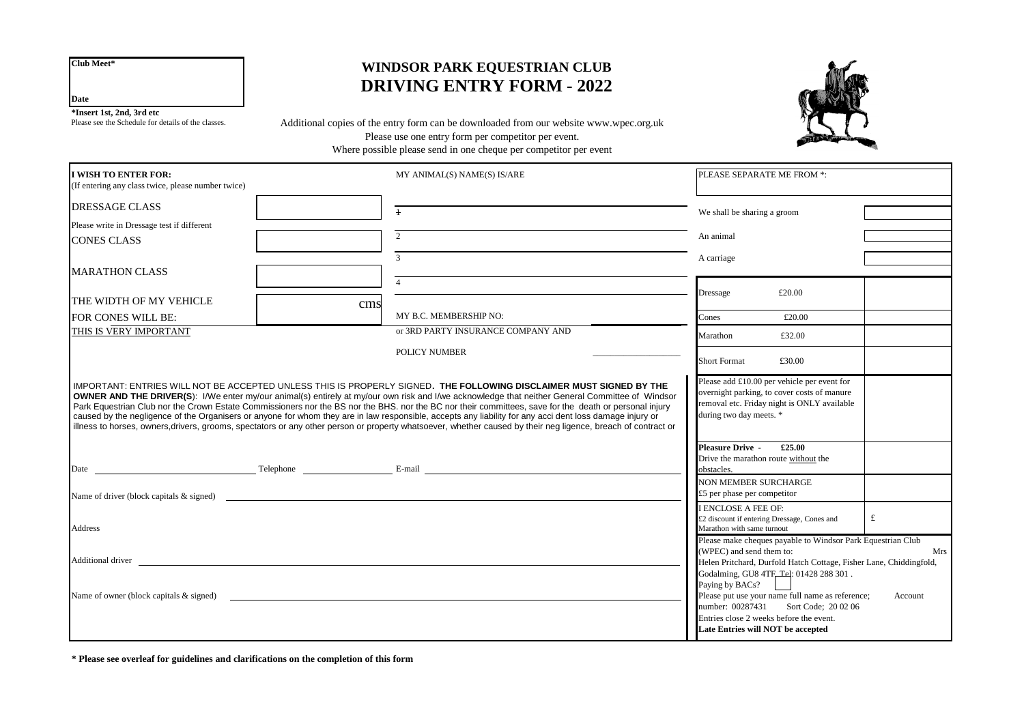**Club Meet\***

**Date**

**\*Insert 1st, 2nd, 3rd etc**

Please see the Schedule for details of the classes.

# **WINDSOR PARK EQUESTRIAN CLUB DRIVING ENTRY FORM - 2022**

Additional copies of the entry form can be downloaded from our website www.wpec.org.uk Please use one entry form per competitor per event. Where possible please send in one cheque per competitor per event



| <b>I WISH TO ENTER FOR:</b><br>(If entering any class twice, please number twice)                                                                                                                                                                                                                                                                                                                                                                                                                                                                                                                                                                                                                                                                                              |     | MY ANIMAL(S) NAME(S) IS/ARE        | PLEASE SEPARATE ME FROM *:<br>We shall be sharing a groom    |                                                                                                                                                                                                                    |         |
|--------------------------------------------------------------------------------------------------------------------------------------------------------------------------------------------------------------------------------------------------------------------------------------------------------------------------------------------------------------------------------------------------------------------------------------------------------------------------------------------------------------------------------------------------------------------------------------------------------------------------------------------------------------------------------------------------------------------------------------------------------------------------------|-----|------------------------------------|--------------------------------------------------------------|--------------------------------------------------------------------------------------------------------------------------------------------------------------------------------------------------------------------|---------|
| <b>DRESSAGE CLASS</b>                                                                                                                                                                                                                                                                                                                                                                                                                                                                                                                                                                                                                                                                                                                                                          |     | $\ddagger$                         |                                                              |                                                                                                                                                                                                                    |         |
| Please write in Dressage test if different                                                                                                                                                                                                                                                                                                                                                                                                                                                                                                                                                                                                                                                                                                                                     |     |                                    |                                                              |                                                                                                                                                                                                                    |         |
| <b>CONES CLASS</b>                                                                                                                                                                                                                                                                                                                                                                                                                                                                                                                                                                                                                                                                                                                                                             |     | $2^{\circ}$                        | An animal                                                    |                                                                                                                                                                                                                    |         |
|                                                                                                                                                                                                                                                                                                                                                                                                                                                                                                                                                                                                                                                                                                                                                                                |     | $\mathcal{R}$                      | A carriage                                                   |                                                                                                                                                                                                                    |         |
| <b>MARATHON CLASS</b>                                                                                                                                                                                                                                                                                                                                                                                                                                                                                                                                                                                                                                                                                                                                                          |     |                                    |                                                              |                                                                                                                                                                                                                    |         |
| THE WIDTH OF MY VEHICLE                                                                                                                                                                                                                                                                                                                                                                                                                                                                                                                                                                                                                                                                                                                                                        | cms |                                    | Dressage                                                     | £20.00                                                                                                                                                                                                             |         |
| FOR CONES WILL BE:                                                                                                                                                                                                                                                                                                                                                                                                                                                                                                                                                                                                                                                                                                                                                             |     | MY B.C. MEMBERSHIP NO:             | Cones                                                        | £20.00                                                                                                                                                                                                             |         |
| THIS IS VERY IMPORTANT                                                                                                                                                                                                                                                                                                                                                                                                                                                                                                                                                                                                                                                                                                                                                         |     | or 3RD PARTY INSURANCE COMPANY AND | Marathon                                                     | £32.00                                                                                                                                                                                                             |         |
|                                                                                                                                                                                                                                                                                                                                                                                                                                                                                                                                                                                                                                                                                                                                                                                |     | <b>POLICY NUMBER</b>               | <b>Short Format</b>                                          | £30.00                                                                                                                                                                                                             |         |
| I IMPORTANT: ENTRIES WILL NOT BE ACCEPTED UNLESS THIS IS PROPERLY SIGNED <b>. THE FOLLOWING DISCLAIMER MUST SIGNED BY THE</b><br><b>OWNER AND THE DRIVER(S):</b> I/We enter my/our animal(s) entirely at my/our own risk and I/we acknowledge that neither General Committee of Windsor<br>Park Equestrian Club nor the Crown Estate Commissioners nor the BS nor the BHS, nor the BC nor their committees, save for the death or personal injury<br>caused by the negligence of the Organisers or anyone for whom they are in law responsible, accepts any liability for any acci dent loss damage injury or<br>illness to horses, owners, drivers, grooms, spectators or any other person or property whatsoever, whether caused by their neg ligence, breach of contract or |     |                                    | during two day meets. *                                      | overnight parking, to cover costs of manure<br>removal etc. Friday night is ONLY available                                                                                                                         |         |
|                                                                                                                                                                                                                                                                                                                                                                                                                                                                                                                                                                                                                                                                                                                                                                                |     |                                    | <b>Pleasure Drive -</b><br>obstacles.                        | £25.00<br>Drive the marathon route without the                                                                                                                                                                     |         |
|                                                                                                                                                                                                                                                                                                                                                                                                                                                                                                                                                                                                                                                                                                                                                                                |     |                                    | <b>NON MEMBER SURCHARGE</b><br>$£5$ per phase per competitor |                                                                                                                                                                                                                    |         |
| Address                                                                                                                                                                                                                                                                                                                                                                                                                                                                                                                                                                                                                                                                                                                                                                        |     |                                    | <b>I ENCLOSE A FEE OF:</b><br>Marathon with same turnout     | £2 discount if entering Dressage, Cones and                                                                                                                                                                        | £       |
|                                                                                                                                                                                                                                                                                                                                                                                                                                                                                                                                                                                                                                                                                                                                                                                |     |                                    | (WPEC) and send them to:                                     | Please make cheques payable to Windsor Park Equestrian Club<br>Helen Pritchard, Durfold Hatch Cottage, Fisher Lane, Chiddingfold,                                                                                  | Mrs     |
| Name of owner (block capitals & signed)                                                                                                                                                                                                                                                                                                                                                                                                                                                                                                                                                                                                                                                                                                                                        |     |                                    | Paying by BACs?                                              | Godalming, GU8 4TF Tel: 01428 288 301.<br>Please put use your name full name as reference;<br>number: 00287431 Sort Code; 20 02 06<br>Entries close 2 weeks before the event.<br>Late Entries will NOT be accepted | Account |

**\* Please see overleaf for guidelines and clarifications on the completion of this form**